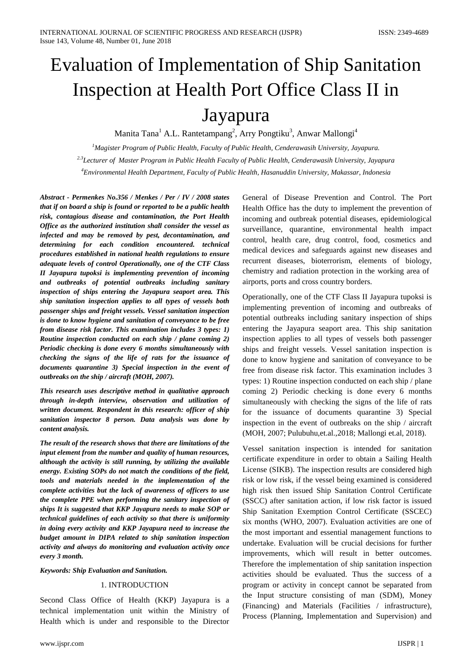# Evaluation of Implementation of Ship Sanitation Inspection at Health Port Office Class II in Jayapura

Manita Tana<sup>1</sup> A.L. Rantetampang<sup>2</sup>, Arry Pongtiku<sup>3</sup>, Anwar Mallongi<sup>4</sup>

*1 Magister Program of Public Health, Faculty of Public Health, Cenderawasih University, Jayapura. 2.3Lecturer of Master Program in Public Health Faculty of Public Health, Cenderawasih University, Jayapura 4 Environmental Health Department, Faculty of Public Health, Hasanuddin University, Makassar, Indonesia*

*Abstract - Permenkes No.356 / Menkes / Per / IV / 2008 states that if on board a ship is found or reported to be a public health risk, contagious disease and contamination, the Port Health Office as the authorized institution shall consider the vessel as infected and may be removed by pest, decontamination, and determining for each condition encountered. technical procedures established in national health regulations to ensure adequate levels of control Operationally, one of the CTF Class II Jayapura tupoksi is implementing prevention of incoming and outbreaks of potential outbreaks including sanitary inspection of ships entering the Jayapura seaport area. This ship sanitation inspection applies to all types of vessels both passenger ships and freight vessels. Vessel sanitation inspection is done to know hygiene and sanitation of conveyance to be free from disease risk factor. This examination includes 3 types: 1) Routine inspection conducted on each ship / plane coming 2) Periodic checking is done every 6 months simultaneously with checking the signs of the life of rats for the issuance of documents quarantine 3) Special inspection in the event of outbreaks on the ship / aircraft (MOH, 2007).*

*This research uses descriptive method in qualitative approach through in-depth interview, observation and utilization of written document. Respondent in this research: officer of ship sanitation inspector 8 person. Data analysis was done by content analysis.*

*The result of the research shows that there are limitations of the input element from the number and quality of human resources, although the activity is still running, by utilizing the available energy. Existing SOPs do not match the conditions of the field, tools and materials needed in the implementation of the complete activities but the lack of awareness of officers to use the complete PPE when performing the sanitary inspection of ships It is suggested that KKP Jayapura needs to make SOP or technical guidelines of each activity so that there is uniformity in doing every activity and KKP Jayapura need to increase the budget amount in DIPA related to ship sanitation inspection activity and always do monitoring and evaluation activity once every 3 month.*

*Keywords: Ship Evaluation and Sanitation.*

## 1. INTRODUCTION

Second Class Office of Health (KKP) Jayapura is a technical implementation unit within the Ministry of Health which is under and responsible to the Director

General of Disease Prevention and Control. The Port Health Office has the duty to implement the prevention of incoming and outbreak potential diseases, epidemiological surveillance, quarantine, environmental health impact control, health care, drug control, food, cosmetics and medical devices and safeguards against new diseases and recurrent diseases, bioterrorism, elements of biology, chemistry and radiation protection in the working area of airports, ports and cross country borders.

Operationally, one of the CTF Class II Jayapura tupoksi is implementing prevention of incoming and outbreaks of potential outbreaks including sanitary inspection of ships entering the Jayapura seaport area. This ship sanitation inspection applies to all types of vessels both passenger ships and freight vessels. Vessel sanitation inspection is done to know hygiene and sanitation of conveyance to be free from disease risk factor. This examination includes 3 types: 1) Routine inspection conducted on each ship / plane coming 2) Periodic checking is done every 6 months simultaneously with checking the signs of the life of rats for the issuance of documents quarantine 3) Special inspection in the event of outbreaks on the ship / aircraft (MOH, 2007; Pulubuhu,et.al.,2018; Mallongi et.al, 2018).

Vessel sanitation inspection is intended for sanitation certificate expenditure in order to obtain a Sailing Health License (SIKB). The inspection results are considered high risk or low risk, if the vessel being examined is considered high risk then issued Ship Sanitation Control Certificate (SSCC) after sanitation action, if low risk factor is issued Ship Sanitation Exemption Control Certificate (SSCEC) six months (WHO, 2007). Evaluation activities are one of the most important and essential management functions to undertake. Evaluation will be crucial decisions for further improvements, which will result in better outcomes. Therefore the implementation of ship sanitation inspection activities should be evaluated. Thus the success of a program or activity in concept cannot be separated from the Input structure consisting of man (SDM), Money (Financing) and Materials (Facilities / infrastructure), Process (Planning, Implementation and Supervision) and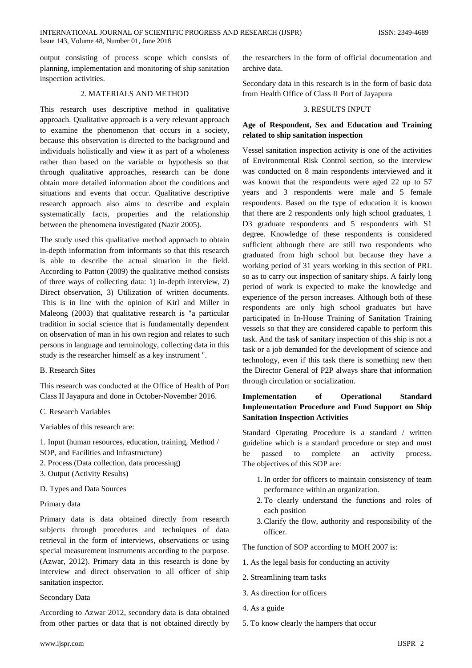output consisting of process scope which consists of planning, implementation and monitoring of ship sanitation inspection activities.

## 2. MATERIALS AND METHOD

This research uses descriptive method in qualitative approach. Qualitative approach is a very relevant approach to examine the phenomenon that occurs in a society, because this observation is directed to the background and individuals holistically and view it as part of a wholeness rather than based on the variable or hypothesis so that through qualitative approaches, research can be done obtain more detailed information about the conditions and situations and events that occur. Qualitative descriptive research approach also aims to describe and explain systematically facts, properties and the relationship between the phenomena investigated (Nazir 2005).

The study used this qualitative method approach to obtain in-depth information from informants so that this research is able to describe the actual situation in the field. According to Patton (2009) the qualitative method consists of three ways of collecting data: 1) in-depth interview, 2) Direct observation, 3) Utilization of written documents. This is in line with the opinion of Kirl and Miller in Maleong (2003) that qualitative research is "a particular tradition in social science that is fundamentally dependent on observation of man in his own region and relates to such persons in language and terminology, collecting data in this study is the researcher himself as a key instrument ".

B. Research Sites

This research was conducted at the Office of Health of Port Class II Jayapura and done in October-November 2016.

## C. Research Variables

Variables of this research are:

1. Input (human resources, education, training, Method / SOP, and Facilities and Infrastructure)

- 2. Process (Data collection, data processing)
- 3. Output (Activity Results)
- D. Types and Data Sources

#### Primary data

Primary data is data obtained directly from research subjects through procedures and techniques of data retrieval in the form of interviews, observations or using special measurement instruments according to the purpose. (Azwar, 2012). Primary data in this research is done by interview and direct observation to all officer of ship sanitation inspector.

#### Secondary Data

According to Azwar 2012, secondary data is data obtained from other parties or data that is not obtained directly by Secondary data in this research is in the form of basic data from Health Office of Class II Port of Jayapura

#### 3. RESULTS INPUT

# **Age of Respondent, Sex and Education and Training related to ship sanitation inspection**

Vessel sanitation inspection activity is one of the activities of Environmental Risk Control section, so the interview was conducted on 8 main respondents interviewed and it was known that the respondents were aged 22 up to 57 years and 3 respondents were male and 5 female respondents. Based on the type of education it is known that there are 2 respondents only high school graduates, 1 D3 graduate respondents and 5 respondents with S1 degree. Knowledge of these respondents is considered sufficient although there are still two respondents who graduated from high school but because they have a working period of 31 years working in this section of PRL so as to carry out inspection of sanitary ships. A fairly long period of work is expected to make the knowledge and experience of the person increases. Although both of these respondents are only high school graduates but have participated in In-House Training of Sanitation Training vessels so that they are considered capable to perform this task. And the task of sanitary inspection of this ship is not a task or a job demanded for the development of science and technology, even if this task there is something new then the Director General of P2P always share that information through circulation or socialization.

# **Implementation of Operational Standard Implementation Procedure and Fund Support on Ship Sanitation Inspection Activities**

Standard Operating Procedure is a standard / written guideline which is a standard procedure or step and must be passed to complete an activity process. The objectives of this SOP are:

- 1.In order for officers to maintain consistency of team performance within an organization.
- 2.To clearly understand the functions and roles of each position
- 3.Clarify the flow, authority and responsibility of the officer.

The function of SOP according to MOH 2007 is:

- 1. As the legal basis for conducting an activity
- 2. Streamlining team tasks
- 3. As direction for officers
- 4. As a guide
- 5. To know clearly the hampers that occur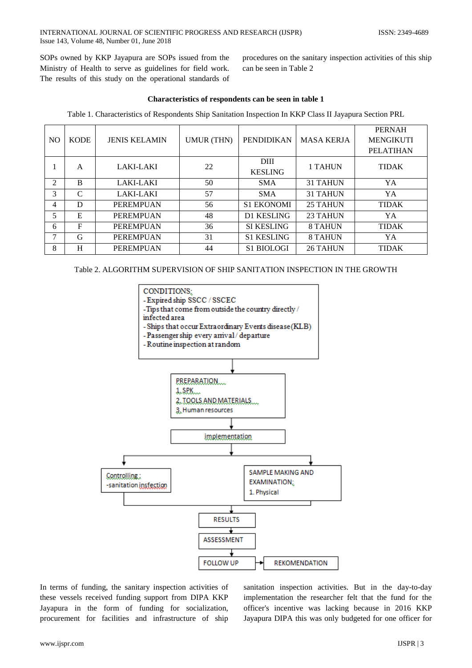SOPs owned by KKP Jayapura are SOPs issued from the Ministry of Health to serve as guidelines for field work. The results of this study on the operational standards of procedures on the sanitary inspection activities of this ship can be seen in Table 2

## **Characteristics of respondents can be seen in table 1**

Table 1. Characteristics of Respondents Ship Sanitation Inspection In KKP Class II Jayapura Section PRL

|    |             |                      |                   |                   |                   | <b>PERNAH</b>    |
|----|-------------|----------------------|-------------------|-------------------|-------------------|------------------|
| NO | <b>KODE</b> | <b>JENIS KELAMIN</b> | <b>UMUR (THN)</b> | <b>PENDIDIKAN</b> | <b>MASA KERJA</b> | <b>MENGIKUTI</b> |
|    |             |                      |                   |                   |                   | <b>PELATIHAN</b> |
|    | A           | LAKI-LAKI            | 22                | DIII              | 1 TAHUN           | <b>TIDAK</b>     |
|    |             |                      |                   | <b>KESLING</b>    |                   |                  |
| 2  | B           | <b>LAKI-LAKI</b>     | 50                | <b>SMA</b>        | <b>31 TAHUN</b>   | YA               |
| 3  | C           | <b>LAKI-LAKI</b>     | 57                | <b>SMA</b>        | <b>31 TAHUN</b>   | YA               |
| 4  | D           | <b>PEREMPUAN</b>     | 56                | <b>S1 EKONOMI</b> | 25 TAHUN          | <b>TIDAK</b>     |
| 5  | E           | <b>PEREMPUAN</b>     | 48                | <b>D1 KESLING</b> | 23 TAHUN          | YA               |
| 6  | $\mathbf F$ | <b>PEREMPUAN</b>     | 36                | <b>SI KESLING</b> | 8 TAHUN           | <b>TIDAK</b>     |
| 7  | G           | <b>PEREMPUAN</b>     | 31                | <b>S1 KESLING</b> | 8 TAHUN           | YA               |
| 8  | H           | <b>PEREMPUAN</b>     | 44                | <b>S1 BIOLOGI</b> | 26 TAHUN          | <b>TIDAK</b>     |

Table 2. ALGORITHM SUPERVISION OF SHIP SANITATION INSPECTION IN THE GROWTH



In terms of funding, the sanitary inspection activities of these vessels received funding support from DIPA KKP Jayapura in the form of funding for socialization, procurement for facilities and infrastructure of ship

sanitation inspection activities. But in the day-to-day implementation the researcher felt that the fund for the officer's incentive was lacking because in 2016 KKP Jayapura DIPA this was only budgeted for one officer for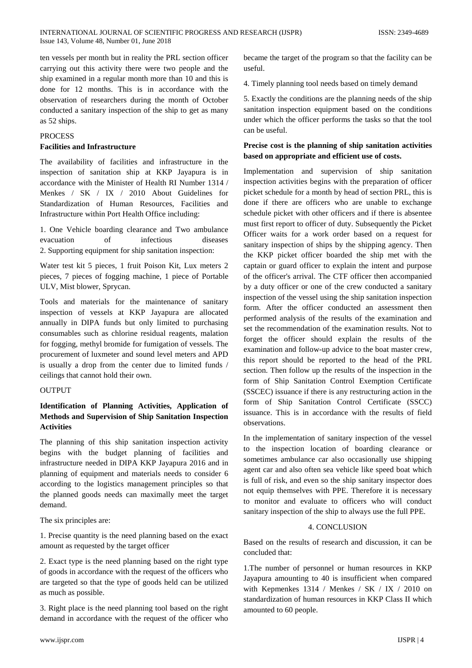ten vessels per month but in reality the PRL section officer carrying out this activity there were two people and the ship examined in a regular month more than 10 and this is done for 12 months. This is in accordance with the observation of researchers during the month of October conducted a sanitary inspection of the ship to get as many as 52 ships.

#### PROCESS

#### **Facilities and Infrastructure**

The availability of facilities and infrastructure in the inspection of sanitation ship at KKP Jayapura is in accordance with the Minister of Health RI Number 1314 / Menkes / SK / IX / 2010 About Guidelines for Standardization of Human Resources, Facilities and Infrastructure within Port Health Office including:

1. One Vehicle boarding clearance and Two ambulance evacuation of infectious diseases 2. Supporting equipment for ship sanitation inspection:

Water test kit 5 pieces, 1 fruit Poison Kit, Lux meters 2 pieces, 7 pieces of fogging machine, 1 piece of Portable ULV, Mist blower, Sprycan.

Tools and materials for the maintenance of sanitary inspection of vessels at KKP Jayapura are allocated annually in DIPA funds but only limited to purchasing consumables such as chlorine residual reagents, malation for fogging, methyl bromide for fumigation of vessels. The procurement of luxmeter and sound level meters and APD is usually a drop from the center due to limited funds / ceilings that cannot hold their own.

#### **OUTPUT**

# **Identification of Planning Activities, Application of Methods and Supervision of Ship Sanitation Inspection Activities**

The planning of this ship sanitation inspection activity begins with the budget planning of facilities and infrastructure needed in DIPA KKP Jayapura 2016 and in planning of equipment and materials needs to consider 6 according to the logistics management principles so that the planned goods needs can maximally meet the target demand.

The six principles are:

1. Precise quantity is the need planning based on the exact amount as requested by the target officer

2. Exact type is the need planning based on the right type of goods in accordance with the request of the officers who are targeted so that the type of goods held can be utilized as much as possible.

3. Right place is the need planning tool based on the right demand in accordance with the request of the officer who

became the target of the program so that the facility can be useful.

4. Timely planning tool needs based on timely demand

5. Exactly the conditions are the planning needs of the ship sanitation inspection equipment based on the conditions under which the officer performs the tasks so that the tool can be useful.

# **Precise cost is the planning of ship sanitation activities based on appropriate and efficient use of costs.**

Implementation and supervision of ship sanitation inspection activities begins with the preparation of officer picket schedule for a month by head of section PRL, this is done if there are officers who are unable to exchange schedule picket with other officers and if there is absentee must first report to officer of duty. Subsequently the Picket Officer waits for a work order based on a request for sanitary inspection of ships by the shipping agency. Then the KKP picket officer boarded the ship met with the captain or guard officer to explain the intent and purpose of the officer's arrival. The CTF officer then accompanied by a duty officer or one of the crew conducted a sanitary inspection of the vessel using the ship sanitation inspection form. After the officer conducted an assessment then performed analysis of the results of the examination and set the recommendation of the examination results. Not to forget the officer should explain the results of the examination and follow-up advice to the boat master crew, this report should be reported to the head of the PRL section. Then follow up the results of the inspection in the form of Ship Sanitation Control Exemption Certificate (SSCEC) issuance if there is any restructuring action in the form of Ship Sanitation Control Certificate (SSCC) issuance. This is in accordance with the results of field observations.

In the implementation of sanitary inspection of the vessel to the inspection location of boarding clearance or sometimes ambulance car also occasionally use shipping agent car and also often sea vehicle like speed boat which is full of risk, and even so the ship sanitary inspector does not equip themselves with PPE. Therefore it is necessary to monitor and evaluate to officers who will conduct sanitary inspection of the ship to always use the full PPE.

## 4. CONCLUSION

Based on the results of research and discussion, it can be concluded that:

1.The number of personnel or human resources in KKP Jayapura amounting to 40 is insufficient when compared with Kepmenkes 1314 / Menkes / SK / IX / 2010 on standardization of human resources in KKP Class II which amounted to 60 people.